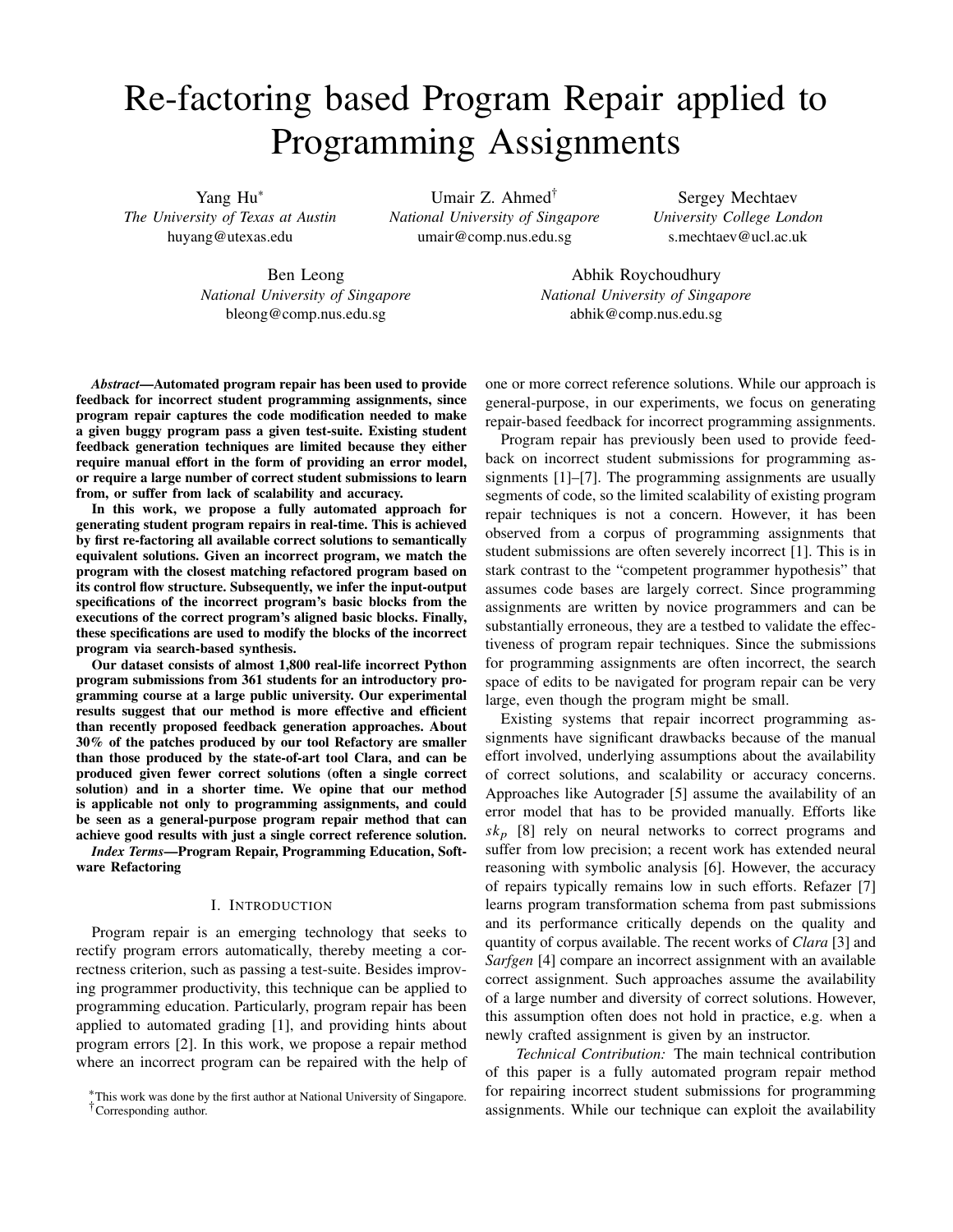# Re-factoring based Program Repair applied to Programming Assignments

Yang Hu<sup>∗</sup> *The University of Texas at Austin* huyang@utexas.edu

Umair Z. Ahmed† *National University of Singapore* umair@comp.nus.edu.sg

Sergey Mechtaev *University College London* s.mechtaev@ucl.ac.uk

Ben Leong *National University of Singapore* bleong@comp.nus.edu.sg

Abhik Roychoudhury *National University of Singapore* abhik@comp.nus.edu.sg

*Abstract***—Automated program repair has been used to provide feedback for incorrect student programming assignments, since program repair captures the code modification needed to make a given buggy program pass a given test-suite. Existing student feedback generation techniques are limited because they either require manual effort in the form of providing an error model, or require a large number of correct student submissions to learn from, or suffer from lack of scalability and accuracy.**

**In this work, we propose a fully automated approach for generating student program repairs in real-time. This is achieved by first re-factoring all available correct solutions to semantically equivalent solutions. Given an incorrect program, we match the program with the closest matching refactored program based on its control flow structure. Subsequently, we infer the input-output specifications of the incorrect program's basic blocks from the executions of the correct program's aligned basic blocks. Finally, these specifications are used to modify the blocks of the incorrect program via search-based synthesis.**

**Our dataset consists of almost 1,800 real-life incorrect Python program submissions from 361 students for an introductory programming course at a large public university. Our experimental results suggest that our method is more effective and efficient than recently proposed feedback generation approaches. About 30% of the patches produced by our tool Refactory are smaller than those produced by the state-of-art tool Clara, and can be produced given fewer correct solutions (often a single correct solution) and in a shorter time. We opine that our method is applicable not only to programming assignments, and could be seen as a general-purpose program repair method that can achieve good results with just a single correct reference solution.**

*Index Terms***—Program Repair, Programming Education, Software Refactoring**

## I. INTRODUCTION

Program repair is an emerging technology that seeks to rectify program errors automatically, thereby meeting a correctness criterion, such as passing a test-suite. Besides improving programmer productivity, this technique can be applied to programming education. Particularly, program repair has been applied to automated grading [1], and providing hints about program errors [2]. In this work, we propose a repair method where an incorrect program can be repaired with the help of

one or more correct reference solutions. While our approach is general-purpose, in our experiments, we focus on generating repair-based feedback for incorrect programming assignments.

Program repair has previously been used to provide feedback on incorrect student submissions for programming assignments [1]–[7]. The programming assignments are usually segments of code, so the limited scalability of existing program repair techniques is not a concern. However, it has been observed from a corpus of programming assignments that student submissions are often severely incorrect [1]. This is in stark contrast to the "competent programmer hypothesis" that assumes code bases are largely correct. Since programming assignments are written by novice programmers and can be substantially erroneous, they are a testbed to validate the effectiveness of program repair techniques. Since the submissions for programming assignments are often incorrect, the search space of edits to be navigated for program repair can be very large, even though the program might be small.

Existing systems that repair incorrect programming assignments have significant drawbacks because of the manual effort involved, underlying assumptions about the availability of correct solutions, and scalability or accuracy concerns. Approaches like Autograder [5] assume the availability of an error model that has to be provided manually. Efforts like *sk*<sup>p</sup> [8] rely on neural networks to correct programs and suffer from low precision; a recent work has extended neural reasoning with symbolic analysis [6]. However, the accuracy of repairs typically remains low in such efforts. Refazer [7] learns program transformation schema from past submissions and its performance critically depends on the quality and quantity of corpus available. The recent works of *Clara* [3] and *Sarfgen* [4] compare an incorrect assignment with an available correct assignment. Such approaches assume the availability of a large number and diversity of correct solutions. However, this assumption often does not hold in practice, e.g. when a newly crafted assignment is given by an instructor.

*Technical Contribution:* The main technical contribution of this paper is a fully automated program repair method for repairing incorrect student submissions for programming assignments. While our technique can exploit the availability

<sup>∗</sup>This work was done by the first author at National University of Singapore.

<sup>†</sup>Corresponding author.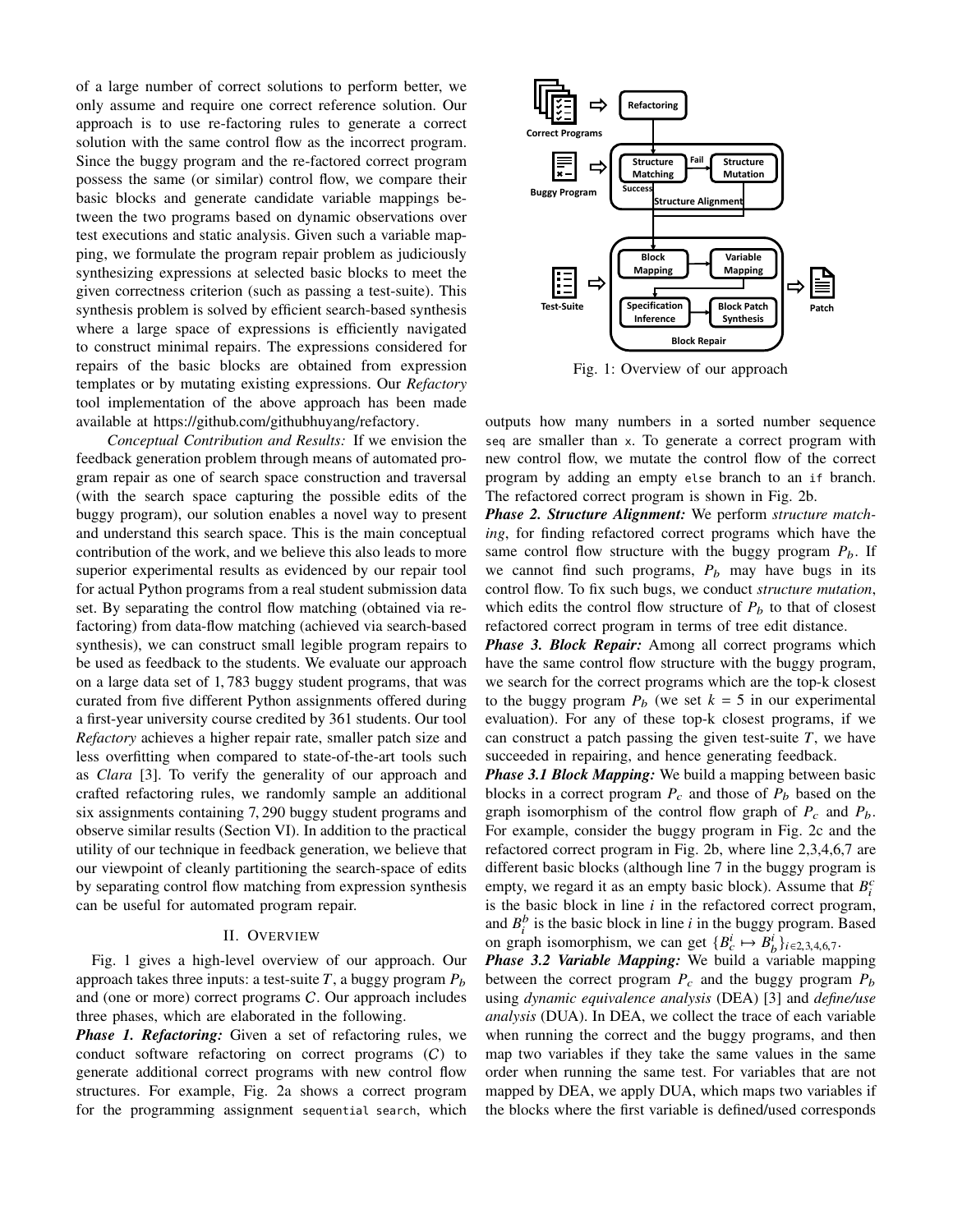of a large number of correct solutions to perform better, we only assume and require one correct reference solution. Our approach is to use re-factoring rules to generate a correct solution with the same control flow as the incorrect program. Since the buggy program and the re-factored correct program possess the same (or similar) control flow, we compare their basic blocks and generate candidate variable mappings between the two programs based on dynamic observations over test executions and static analysis. Given such a variable mapping, we formulate the program repair problem as judiciously synthesizing expressions at selected basic blocks to meet the given correctness criterion (such as passing a test-suite). This synthesis problem is solved by efficient search-based synthesis where a large space of expressions is efficiently navigated to construct minimal repairs. The expressions considered for repairs of the basic blocks are obtained from expression templates or by mutating existing expressions. Our *Refactory* tool implementation of the above approach has been made available at https://github.com/githubhuyang/refactory.

*Conceptual Contribution and Results:* If we envision the feedback generation problem through means of automated program repair as one of search space construction and traversal (with the search space capturing the possible edits of the buggy program), our solution enables a novel way to present and understand this search space. This is the main conceptual contribution of the work, and we believe this also leads to more superior experimental results as evidenced by our repair tool for actual Python programs from a real student submission data set. By separating the control flow matching (obtained via refactoring) from data-flow matching (achieved via search-based synthesis), we can construct small legible program repairs to be used as feedback to the students. We evaluate our approach on a large data set of 1, 783 buggy student programs, that was curated from five different Python assignments offered during a first-year university course credited by 361 students. Our tool *Refactory* achieves a higher repair rate, smaller patch size and less overfitting when compared to state-of-the-art tools such as *Clara* [3]. To verify the generality of our approach and crafted refactoring rules, we randomly sample an additional six assignments containing 7, 290 buggy student programs and observe similar results (Section VI). In addition to the practical utility of our technique in feedback generation, we believe that our viewpoint of cleanly partitioning the search-space of edits by separating control flow matching from expression synthesis can be useful for automated program repair.

#### II. OVERVIEW

Fig. 1 gives a high-level overview of our approach. Our approach takes three inputs: a test-suite  $T$ , a buggy program  $P_b$ and (one or more) correct programs C. Our approach includes three phases, which are elaborated in the following.

*Phase 1. Refactoring:* Given a set of refactoring rules, we conduct software refactoring on correct programs (C) to generate additional correct programs with new control flow structures. For example, Fig. 2a shows a correct program for the programming assignment sequential search, which



Fig. 1: Overview of our approach

outputs how many numbers in a sorted number sequence seq are smaller than x. To generate a correct program with new control flow, we mutate the control flow of the correct program by adding an empty else branch to an if branch. The refactored correct program is shown in Fig. 2b.

*Phase 2. Structure Alignment:* We perform *structure matching*, for finding refactored correct programs which have the same control flow structure with the buggy program  $P_b$ . If we cannot find such programs,  $P_b$  may have bugs in its control flow. To fix such bugs, we conduct *structure mutation*, which edits the control flow structure of  $P_b$  to that of closest refactored correct program in terms of tree edit distance.

*Phase 3. Block Repair:* Among all correct programs which have the same control flow structure with the buggy program, we search for the correct programs which are the top-k closest to the buggy program  $P_b$  (we set  $k = 5$  in our experimental evaluation). For any of these top-k closest programs, if we can construct a patch passing the given test-suite  $T$ , we have succeeded in repairing, and hence generating feedback.

*Phase 3.1 Block Mapping:* We build a mapping between basic blocks in a correct program  $P_c$  and those of  $P_b$  based on the graph isomorphism of the control flow graph of  $P_c$  and  $P_b$ . For example, consider the buggy program in Fig. 2c and the refactored correct program in Fig. 2b, where line 2,3,4,6,7 are different basic blocks (although line 7 in the buggy program is empty, we regard it as an empty basic block). Assume that  $B_i^c$ is the basic block in line *i* in the refactored correct program, and  $B_i^b$  is the basic block in line *i* in the buggy program. Based on graph isomorphism, we can get  ${B_c^i \mapsto B_b^i}_{i \in 2,3,4,6,7}$ .

*Phase 3.2 Variable Mapping:* We build a variable mapping between the correct program  $P_c$  and the buggy program  $P_b$ using *dynamic equivalence analysis* (DEA) [3] and *define/use analysis* (DUA). In DEA, we collect the trace of each variable when running the correct and the buggy programs, and then map two variables if they take the same values in the same order when running the same test. For variables that are not mapped by DEA, we apply DUA, which maps two variables if the blocks where the first variable is defined/used corresponds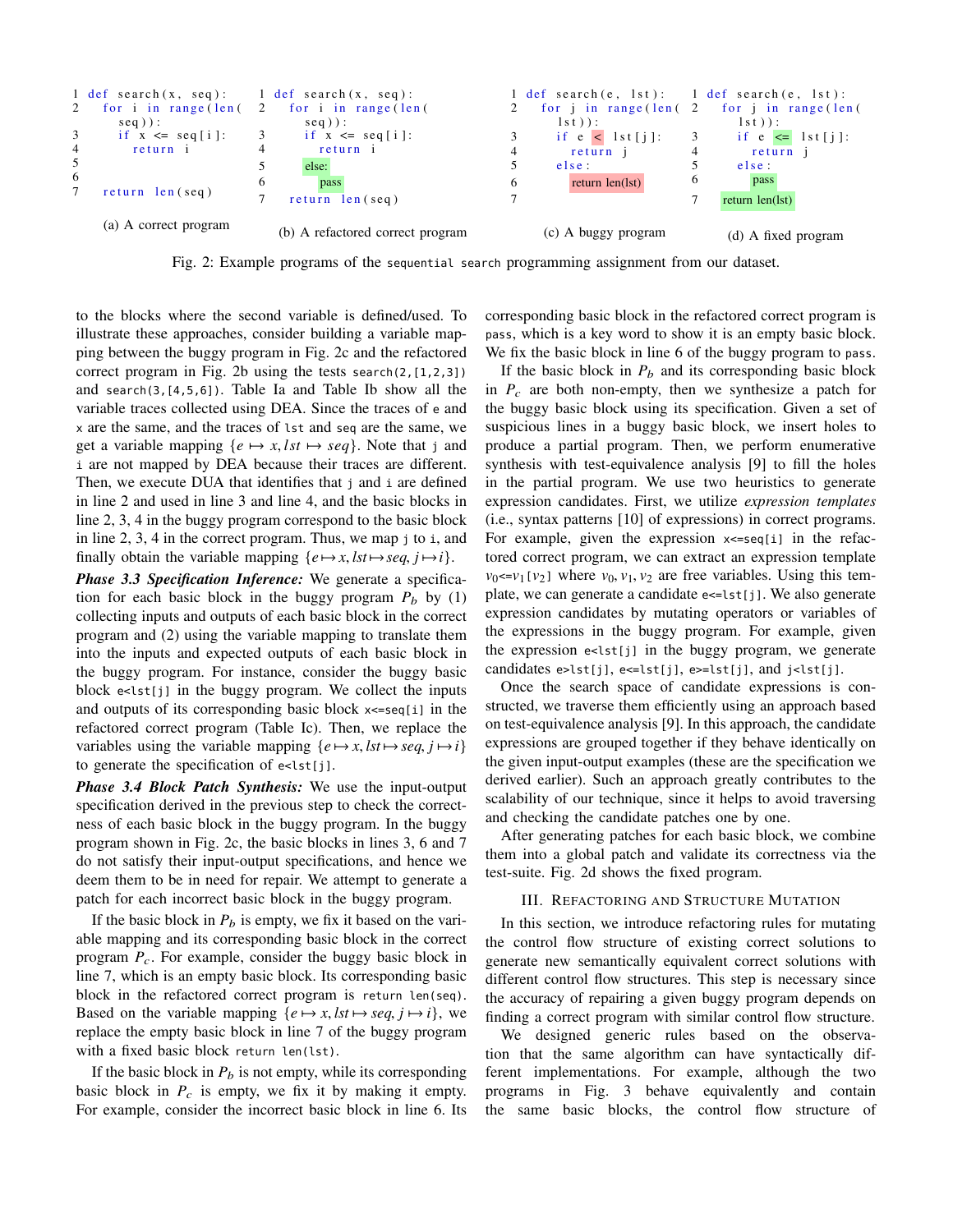

Fig. 2: Example programs of the sequential search programming assignment from our dataset.

to the blocks where the second variable is defined/used. To illustrate these approaches, consider building a variable mapping between the buggy program in Fig. 2c and the refactored correct program in Fig. 2b using the tests search(2,[1,2,3]) and search(3,[4,5,6]). Table Ia and Table Ib show all the variable traces collected using DEA. Since the traces of e and x are the same, and the traces of lst and seq are the same, we get a variable mapping  $\{e \mapsto x, \, \text{lst} \mapsto \text{seq}\}\$ . Note that j and i are not mapped by DEA because their traces are different. Then, we execute DUA that identifies that j and i are defined in line 2 and used in line 3 and line 4, and the basic blocks in line 2, 3, 4 in the buggy program correspond to the basic block in line 2, 3, 4 in the correct program. Thus, we map j to i, and finally obtain the variable mapping  $\{e \mapsto x, \text{lst} \mapsto \text{seq}, \text{ j} \mapsto \text{i}\}.$ 

*Phase 3.3 Specification Inference:* We generate a specification for each basic block in the buggy program  $P_b$  by (1) collecting inputs and outputs of each basic block in the correct program and (2) using the variable mapping to translate them into the inputs and expected outputs of each basic block in the buggy program. For instance, consider the buggy basic block e<lst[j] in the buggy program. We collect the inputs and outputs of its corresponding basic block x<=seq[i] in the refactored correct program (Table Ic). Then, we replace the variables using the variable mapping  $\{e \mapsto x, \, \text{lst} \mapsto \text{seq}, \, \textit{i} \mapsto \textit{i}\}$ to generate the specification of e<lst[j].

*Phase 3.4 Block Patch Synthesis:* We use the input-output specification derived in the previous step to check the correctness of each basic block in the buggy program. In the buggy program shown in Fig. 2c, the basic blocks in lines 3, 6 and 7 do not satisfy their input-output specifications, and hence we deem them to be in need for repair. We attempt to generate a patch for each incorrect basic block in the buggy program.

If the basic block in  $P_b$  is empty, we fix it based on the variable mapping and its corresponding basic block in the correct program  $P_c$ . For example, consider the buggy basic block in line 7, which is an empty basic block. Its corresponding basic block in the refactored correct program is return len(seq). Based on the variable mapping  $\{e \mapsto x, \text{lst} \mapsto \text{seq}, \textit{i} \mapsto \textit{i}\}$ , we replace the empty basic block in line 7 of the buggy program with a fixed basic block return len(lst).

If the basic block in  $P_b$  is not empty, while its corresponding basic block in  $P_c$  is empty, we fix it by making it empty. For example, consider the incorrect basic block in line 6. Its

corresponding basic block in the refactored correct program is pass, which is a key word to show it is an empty basic block. We fix the basic block in line 6 of the buggy program to pass.

If the basic block in  $P_b$  and its corresponding basic block in  $P_c$  are both non-empty, then we synthesize a patch for the buggy basic block using its specification. Given a set of suspicious lines in a buggy basic block, we insert holes to produce a partial program. Then, we perform enumerative synthesis with test-equivalence analysis [9] to fill the holes in the partial program. We use two heuristics to generate expression candidates. First, we utilize *expression templates* (i.e., syntax patterns [10] of expressions) in correct programs. For example, given the expression  $x \leq$ seq[i] in the refactored correct program, we can extract an expression template  $v_0 \le v_1$  [ $v_2$ ] where  $v_0$ ,  $v_1$ ,  $v_2$  are free variables. Using this template, we can generate a candidate e<=lst[j]. We also generate expression candidates by mutating operators or variables of the expressions in the buggy program. For example, given the expression e<lst[j] in the buggy program, we generate candidates e>lst[j], e<=lst[j], e>=lst[j], and j<lst[j].

Once the search space of candidate expressions is constructed, we traverse them efficiently using an approach based on test-equivalence analysis [9]. In this approach, the candidate expressions are grouped together if they behave identically on the given input-output examples (these are the specification we derived earlier). Such an approach greatly contributes to the scalability of our technique, since it helps to avoid traversing and checking the candidate patches one by one.

After generating patches for each basic block, we combine them into a global patch and validate its correctness via the test-suite. Fig. 2d shows the fixed program.

# III. REFACTORING AND STRUCTURE MUTATION

In this section, we introduce refactoring rules for mutating the control flow structure of existing correct solutions to generate new semantically equivalent correct solutions with different control flow structures. This step is necessary since the accuracy of repairing a given buggy program depends on finding a correct program with similar control flow structure.

We designed generic rules based on the observation that the same algorithm can have syntactically different implementations. For example, although the two programs in Fig. 3 behave equivalently and contain the same basic blocks, the control flow structure of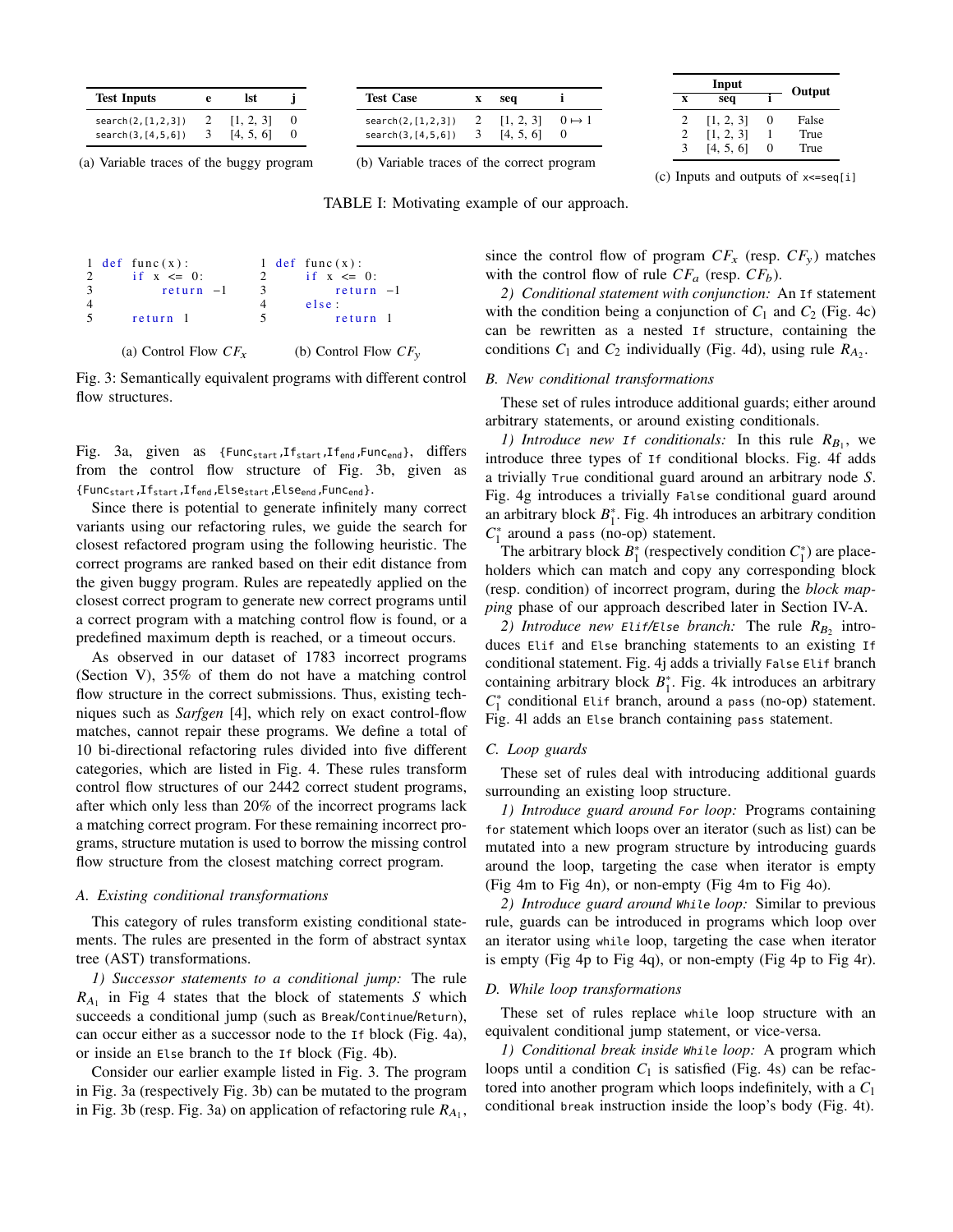| <b>Test Inputs</b>                           | е | lst                    |  |
|----------------------------------------------|---|------------------------|--|
| search(2, [1, 2, 3])<br>search(3, [4, 5, 6]) |   | [1, 2, 3]<br>[4, 5, 6] |  |

(a) Variable traces of the buggy program

| <b>Test Case</b>                             | seq                    |               |
|----------------------------------------------|------------------------|---------------|
| search(2, [1, 2, 3])<br>search(3, [4, 5, 6]) | [1, 2, 3]<br>[4, 5, 6] | $0 \mapsto 1$ |

(b) Variable traces of the correct program

|                | Input     | Output |       |
|----------------|-----------|--------|-------|
| X              | seq       |        |       |
| 2              | [1, 2, 3] | 0      | False |
| $\overline{c}$ | [1, 2, 3] |        | True  |
| 3              | [4, 5, 6] | 0      | True  |

(c) Inputs and outputs of  $x \leq -\sec[i]$ 

TABLE I: Motivating example of our approach.

|        | 1 def func $(x)$ :     |             | 1 def func $(x)$ :      |
|--------|------------------------|-------------|-------------------------|
| 2      | if $x \le 0$ :         | $2^{\circ}$ | if $x \le 0$ :          |
| -3     | $return -1$            | 3           | $return -1$             |
|        |                        | 4           | else:                   |
| $\sim$ | return 1               | 5.          | return 1                |
|        | (a) Control Flow $CFx$ |             | (b) Control Flow $CF_v$ |

Fig. 3: Semantically equivalent programs with different control flow structures.

Fig. 3a, given as {Func<sub>start</sub>, If<sub>start</sub>, If<sub>end</sub>, Func<sub>end</sub>}, differs from the control flow structure of Fig. 3b, given as {Funcstart,Ifstart,Ifend,Elsestart,Elseend,Funcend}.

Since there is potential to generate infinitely many correct variants using our refactoring rules, we guide the search for closest refactored program using the following heuristic. The correct programs are ranked based on their edit distance from the given buggy program. Rules are repeatedly applied on the closest correct program to generate new correct programs until a correct program with a matching control flow is found, or a predefined maximum depth is reached, or a timeout occurs.

As observed in our dataset of 1783 incorrect programs (Section V), 35% of them do not have a matching control flow structure in the correct submissions. Thus, existing techniques such as *Sarfgen* [4], which rely on exact control-flow matches, cannot repair these programs. We define a total of 10 bi-directional refactoring rules divided into five different categories, which are listed in Fig. 4. These rules transform control flow structures of our 2442 correct student programs, after which only less than 20% of the incorrect programs lack a matching correct program. For these remaining incorrect programs, structure mutation is used to borrow the missing control flow structure from the closest matching correct program.

# *A. Existing conditional transformations*

This category of rules transform existing conditional statements. The rules are presented in the form of abstract syntax tree (AST) transformations.

*1) Successor statements to a conditional jump:* The rule  $R_{A_1}$  in Fig 4 states that the block of statements *S* which succeeds a conditional jump (such as Break/Continue/Return), can occur either as a successor node to the If block (Fig. 4a), or inside an Else branch to the If block (Fig. 4b).

Consider our earlier example listed in Fig. 3. The program in Fig. 3a (respectively Fig. 3b) can be mutated to the program in Fig. 3b (resp. Fig. 3a) on application of refactoring rule  $R_{A_1}$ , since the control flow of program  $CF_x$  (resp.  $CF_y$ ) matches with the control flow of rule  $CF_a$  (resp.  $CF_b$ ).

*2) Conditional statement with conjunction:* An If statement with the condition being a conjunction of  $C_1$  and  $C_2$  (Fig. 4c) can be rewritten as a nested If structure, containing the conditions  $C_1$  and  $C_2$  individually (Fig. 4d), using rule  $R_{A_2}$ .

# *B. New conditional transformations*

These set of rules introduce additional guards; either around arbitrary statements, or around existing conditionals.

*1) Introduce new If conditionals:* In this rule  $R_{B_1}$ , we introduce three types of If conditional blocks. Fig. 4f adds a trivially True conditional guard around an arbitrary node *S*. Fig. 4g introduces a trivially False conditional guard around an arbitrary block  $B_1^*$ . Fig. 4h introduces an arbitrary condition *C*∗ <sup>1</sup> around a pass (no-op) statement.

The arbitrary block  $B_1^*$  (respectively condition  $C_1^*$ ) are placeholders which can match and copy any corresponding block (resp. condition) of incorrect program, during the *block mapping* phase of our approach described later in Section IV-A.

*2) Introduce new Elif/Else branch:* The rule  $R_B$ , introduces Elif and Else branching statements to an existing If conditional statement. Fig. 4j adds a trivially False Elif branch containing arbitrary block  $B_1^*$ . Fig. 4k introduces an arbitrary *C*∗ <sup>1</sup> conditional Elif branch, around a pass (no-op) statement. Fig. 4l adds an Else branch containing pass statement.

# *C. Loop guards*

These set of rules deal with introducing additional guards surrounding an existing loop structure.

*1) Introduce guard around For loop:* Programs containing for statement which loops over an iterator (such as list) can be mutated into a new program structure by introducing guards around the loop, targeting the case when iterator is empty (Fig 4m to Fig 4n), or non-empty (Fig 4m to Fig 4o).

*2) Introduce guard around While loop:* Similar to previous rule, guards can be introduced in programs which loop over an iterator using while loop, targeting the case when iterator is empty (Fig 4p to Fig 4q), or non-empty (Fig 4p to Fig 4r).

#### *D. While loop transformations*

These set of rules replace while loop structure with an equivalent conditional jump statement, or vice-versa.

*1) Conditional break inside While loop:* A program which loops until a condition  $C_1$  is satisfied (Fig. 4s) can be refactored into another program which loops indefinitely, with a *C*<sup>1</sup> conditional break instruction inside the loop's body (Fig. 4t).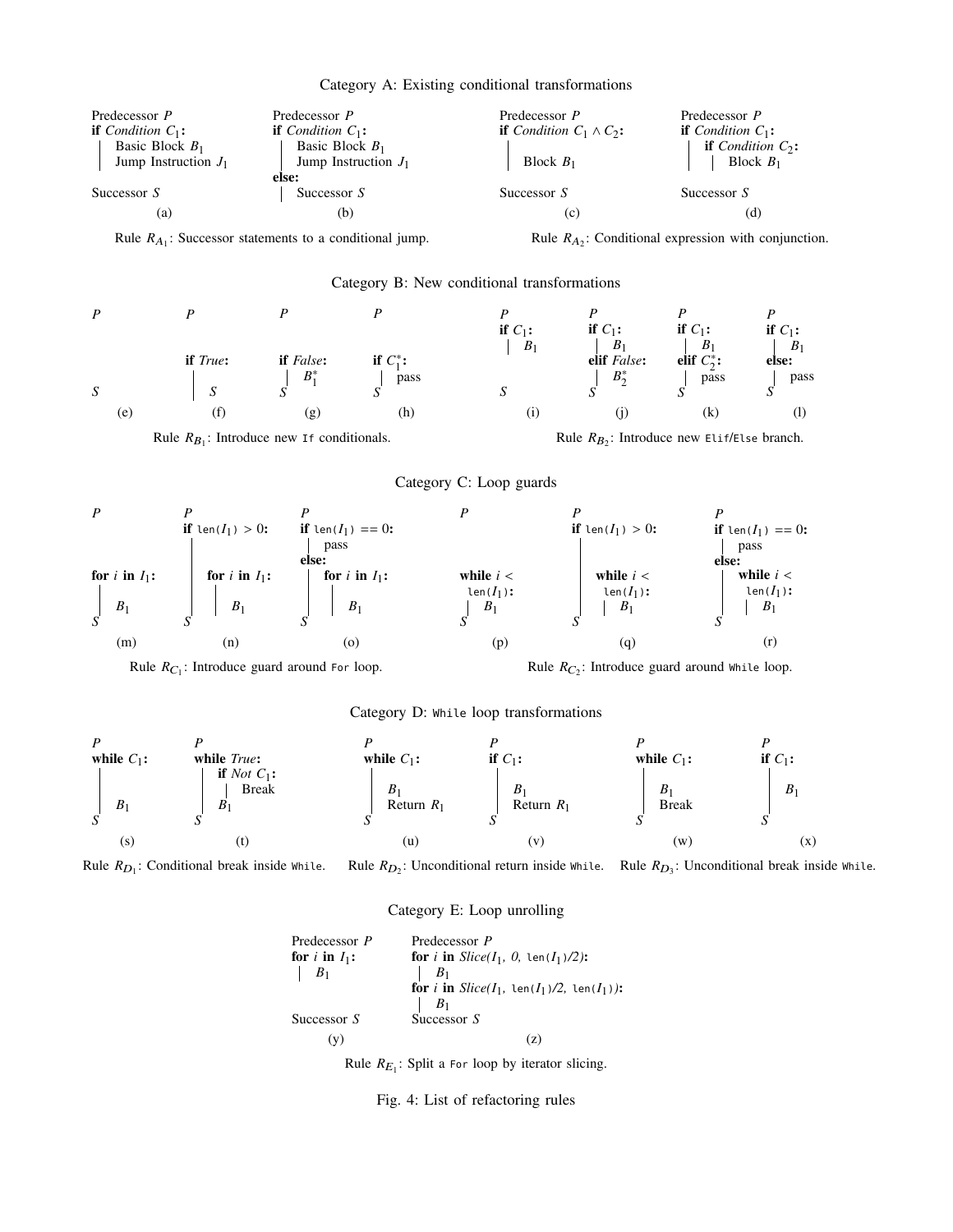|  | Category A: Existing conditional transformations |  |
|--|--------------------------------------------------|--|
|  |                                                  |  |



Rule  $R_{D_1}$ : Conditional break inside While. Rule  $R_{D_2}$ : Unconditional return inside while. Rule  $R_{D_3}$ : Unconditional break inside while.

#### Category E: Loop unrolling

Predecessor *P* for  $i$  **in**  $I_1$ **:** *B*1 Successor *S* (y) Predecessor *P* **for** *i* **in**  $Slice(I_1, 0, \text{len}(I_1)/2))$ :  $B_1$ **for** *i* **in**  $Slice(I_1, \text{len}(I_1)/2, \text{len}(I_1))$ :  $\mid$   $B_1$ Successor *S* (z)

Rule  $R_{E_1}$ : Split a For loop by iterator slicing.

#### Fig. 4: List of refactoring rules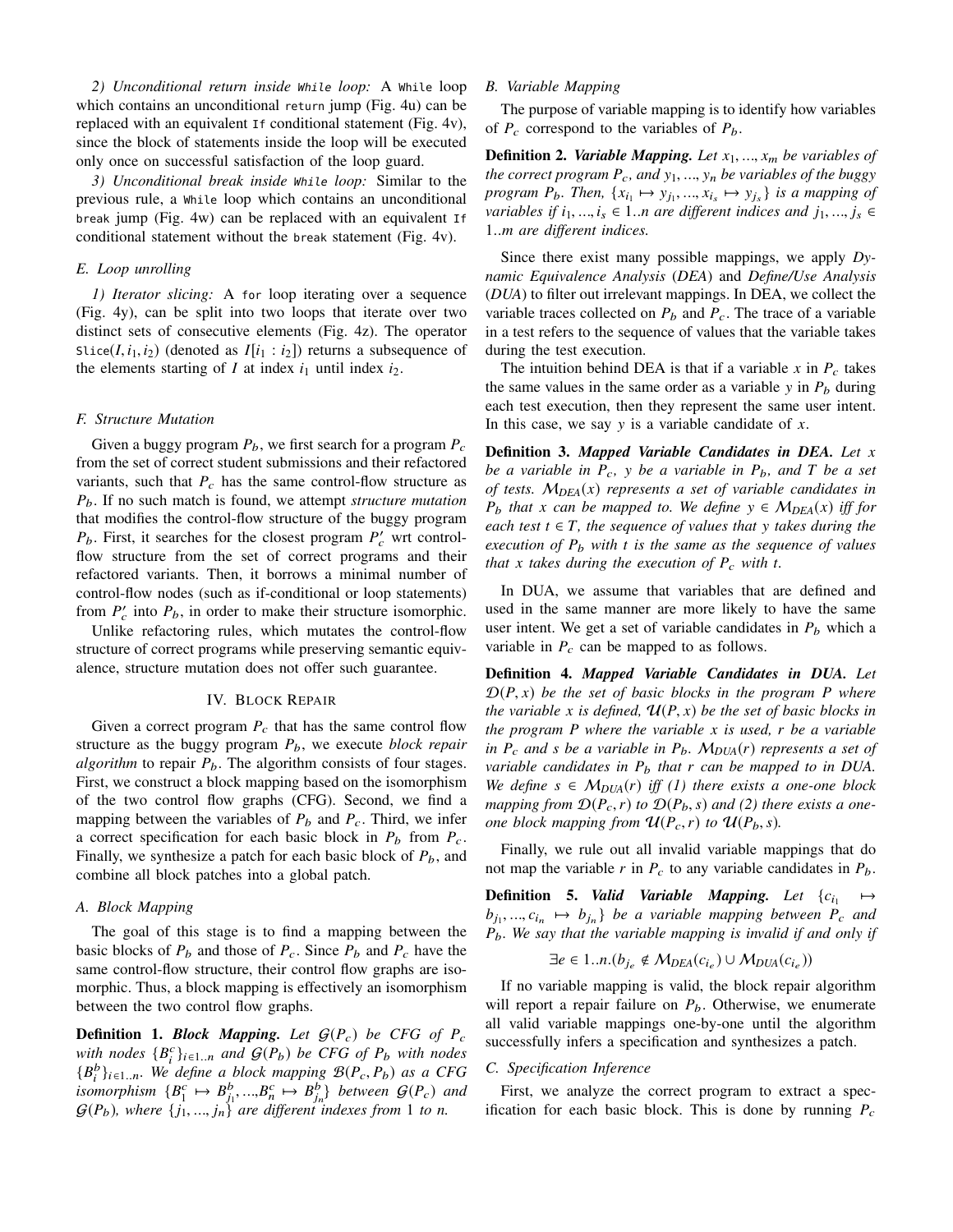*2) Unconditional return inside While loop:* A While loop which contains an unconditional return jump (Fig. 4u) can be replaced with an equivalent If conditional statement (Fig. 4v), since the block of statements inside the loop will be executed only once on successful satisfaction of the loop guard.

*3) Unconditional break inside While loop:* Similar to the previous rule, a While loop which contains an unconditional break jump (Fig. 4w) can be replaced with an equivalent If conditional statement without the break statement (Fig. 4v).

### *E. Loop unrolling*

*1) Iterator slicing:* A for loop iterating over a sequence (Fig. 4y), can be split into two loops that iterate over two distinct sets of consecutive elements (Fig. 4z). The operator Slice( $I$ ,  $i_1$ ,  $i_2$ ) (denoted as  $I[i_1 : i_2]$ ) returns a subsequence of the elements starting of  $I$  at index  $i_1$  until index  $i_2$ .

### *F. Structure Mutation*

Given a buggy program  $P_b$ , we first search for a program  $P_c$ from the set of correct student submissions and their refactored variants, such that  $P_c$  has the same control-flow structure as *P*b. If no such match is found, we attempt *structure mutation* that modifies the control-flow structure of the buggy program  $P_b$ . First, it searches for the closest program  $P_c'$  wrt controlflow structure from the set of correct programs and their refactored variants. Then, it borrows a minimal number of control-flow nodes (such as if-conditional or loop statements) from  $P'_c$  into  $P_b$ , in order to make their structure isomorphic.

Unlike refactoring rules, which mutates the control-flow structure of correct programs while preserving semantic equivalence, structure mutation does not offer such guarantee.

# IV. BLOCK REPAIR

Given a correct program  $P_c$  that has the same control flow structure as the buggy program *P*b, we execute *block repair algorithm* to repair  $P_b$ . The algorithm consists of four stages. First, we construct a block mapping based on the isomorphism of the two control flow graphs (CFG). Second, we find a mapping between the variables of  $P_b$  and  $P_c$ . Third, we infer a correct specification for each basic block in  $P_b$  from  $P_c$ . Finally, we synthesize a patch for each basic block of  $P_b$ , and combine all block patches into a global patch.

# *A. Block Mapping*

The goal of this stage is to find a mapping between the basic blocks of  $P_b$  and those of  $P_c$ . Since  $P_b$  and  $P_c$  have the same control-flow structure, their control flow graphs are isomorphic. Thus, a block mapping is effectively an isomorphism between the two control flow graphs.

**Definition 1.** *Block Mapping. Let* G(*P*c) *be CFG of P*<sup>c</sup> *with nodes*  ${B<sub>i</sub><sup>c</sup>}<sub>i\in1..n</sub>$  *and*  $G(P_b)$  *be CFG of P<sub>b</sub> with nodes*  ${B_i^b}_{i \in I..n}$ *. We define a block mapping*  $B(P_c, P_b)$  *as a CFG isomorphism*  $\{B_1^c \mapsto B_{j_1}^b, ..., B_n^c \mapsto B_{j_n}^b\}$  between  $\mathcal{G}(P_c)$  and  $G(P_b)$ , where  $\{j_1, ..., j_n\}$  are different indexes from 1 to n.

# *B. Variable Mapping*

The purpose of variable mapping is to identify how variables of  $P_c$  correspond to the variables of  $P_b$ .

**Definition 2.** *Variable Mapping. Let x*1, ..., *x*<sup>m</sup> *be variables of the correct program*  $P_c$ *, and*  $y_1$ *, ...,*  $y_n$  *be variables of the buggy program P<sub>b</sub>. Then,*  $\{x_{i_1} \mapsto y_{j_1}, ..., x_{i_s} \mapsto y_{j_s}\}$  *is a mapping of variables if*  $i_1, ..., i_s \in 1..n$  *are different indices and*  $j_1, ..., j_s \in$ 1..*m are different indices.*

Since there exist many possible mappings, we apply *Dynamic Equivalence Analysis* (*DEA*) and *Define/Use Analysis* (*DUA*) to filter out irrelevant mappings. In DEA, we collect the variable traces collected on  $P_b$  and  $P_c$ . The trace of a variable in a test refers to the sequence of values that the variable takes during the test execution.

The intuition behind DEA is that if a variable  $x$  in  $P_c$  takes the same values in the same order as a variable  $y$  in  $P_b$  during each test execution, then they represent the same user intent. In this case, we say y is a variable candidate of *x*.

**Definition 3.** *Mapped Variable Candidates in DEA. Let x be a variable in*  $P_c$ , *y be a variable in*  $P_b$ , *and*  $T$  *be a set of tests.* M*DEA*(*x*) *represents a set of variable candidates in P<sub>b</sub> that x can be mapped to. We define*  $y \in M_{DEA}(x)$  *iff for each test*  $t \in T$ *, the sequence of values that* y *takes during the execution of P*<sup>b</sup> *with t is the same as the sequence of values that x takes during the execution of*  $P_c$  *with t.* 

In DUA, we assume that variables that are defined and used in the same manner are more likely to have the same user intent. We get a set of variable candidates in  $P_b$  which a variable in  $P_c$  can be mapped to as follows.

**Definition 4.** *Mapped Variable Candidates in DUA. Let* D(*P*, *x*) *be the set of basic blocks in the program P where the variable x is defined,*  $\mathcal{U}(P, x)$  *be the set of basic blocks in the program P where the variable x is used, r be a variable in*  $P_c$  *and s be a variable in*  $P_b$ *. M<sub>DUA</sub>*(*r*) *represents a set of variable candidates in P*<sup>b</sup> *that r can be mapped to in DUA. We define*  $s \in M_{DUA}(r)$  *iff (1) there exists a one-one block mapping from*  $D(P_c, r)$  *to*  $D(P_b, s)$  *and* (2) *there exists a oneone block mapping from*  $\mathcal{U}(P_c, r)$  *to*  $\mathcal{U}(P_b, s)$ *.* 

Finally, we rule out all invalid variable mappings that do not map the variable  $r$  in  $P_c$  to any variable candidates in  $P_b$ .

**Definition 5.** *Valid Variable Mapping. Let*  ${c_i} \mapsto$  $b_{j_1},..., c_{i_n} \mapsto b_{j_n}$  *be a variable mapping between*  $P_c$  *and P*b*. We say that the variable mapping is invalid if and only if*

$$
\exists e \in 1..n.(b_{j_e} \notin M_{DEA}(c_{i_e}) \cup M_{DUA}(c_{i_e}))
$$

If no variable mapping is valid, the block repair algorithm will report a repair failure on  $P_b$ . Otherwise, we enumerate all valid variable mappings one-by-one until the algorithm successfully infers a specification and synthesizes a patch.

# *C. Specification Inference*

First, we analyze the correct program to extract a specification for each basic block. This is done by running  $P_c$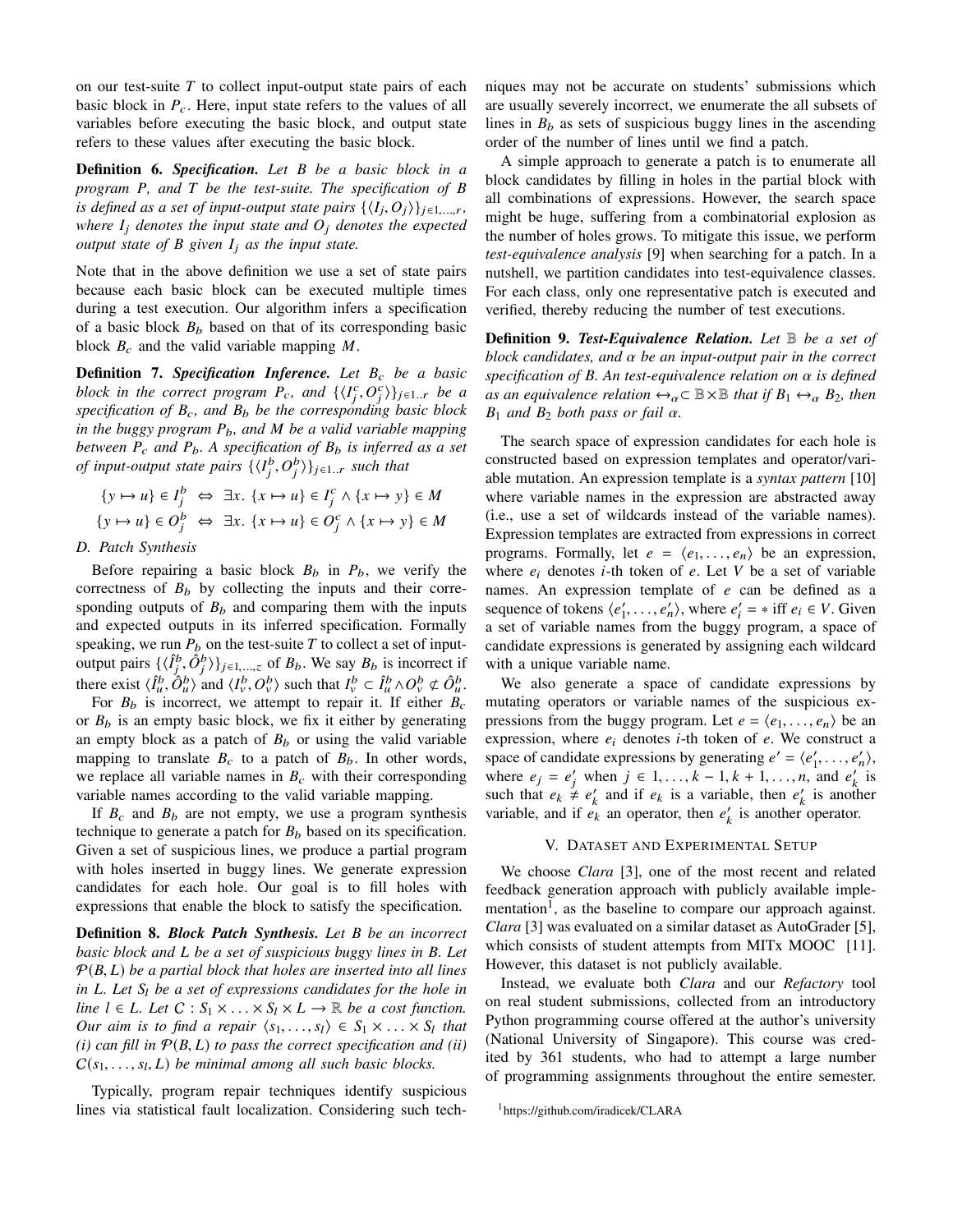on our test-suite *T* to collect input-output state pairs of each basic block in  $P_c$ . Here, input state refers to the values of all variables before executing the basic block, and output state refers to these values after executing the basic block.

**Definition 6.** *Specification. Let B be a basic block in a program P, and T be the test-suite. The specification of B is defined as a set of input-output state pairs*  $\{\langle I_j, O_j \rangle\}_{j \in 1, ..., r}$ , *where I*<sup>j</sup> *denotes the input state and O*<sup>j</sup> *denotes the expected output state of B given I*<sup>j</sup> *as the input state.*

Note that in the above definition we use a set of state pairs because each basic block can be executed multiple times during a test execution. Our algorithm infers a specification of a basic block  $B_b$  based on that of its corresponding basic block  $B_c$  and the valid variable mapping  $M$ .

**Definition 7.** *Specification Inference. Let B<sub>c</sub> be a basic block in the correct program*  $P_c$ *, and*  $\{\langle I_j^c, O_j^c \rangle\}_{j \in 1..r}$  *be a specification of B*c*, and B*<sup>b</sup> *be the corresponding basic block in the buggy program P*b*, and M be a valid variable mapping between*  $P_c$  *and*  $P_b$ . A specification of  $B_b$  *is inferred as a set of input-output state pairs*  $\{\langle I_j^b, O_j^b \rangle\}_{j \in 1..r}$  *such that* 

$$
\{y \mapsto u\} \in I_j^b \Leftrightarrow \exists x. \{x \mapsto u\} \in I_j^c \wedge \{x \mapsto y\} \in M
$$
  

$$
\{y \mapsto u\} \in O_j^b \Leftrightarrow \exists x. \{x \mapsto u\} \in O_j^c \wedge \{x \mapsto y\} \in M
$$

# *D. Patch Synthesis*

Before repairing a basic block  $B_b$  in  $P_b$ , we verify the correctness of  $B_b$  by collecting the inputs and their corresponding outputs of  $B_b$  and comparing them with the inputs and expected outputs in its inferred specification. Formally speaking, we run  $P_b$  on the test-suite  $T$  to collect a set of inputoutput pairs  $\{\langle \hat{I}_j^b, \hat{O}_j^b \rangle \}_{j \in 1, ..., z}$  of  $B_b$ . We say  $B_b$  is incorrect if there exist  $\langle \hat{I}_u^b, \hat{O}_u^b \rangle$  and  $\langle I_v^b, O_v^b \rangle$  such that  $I_v^b \subset \hat{I}_u^b \wedge O_v^b \not\subset \hat{O}_u^b$ .

For  $B_b$  is incorrect, we attempt to repair it. If either  $B_c$ or  $B_b$  is an empty basic block, we fix it either by generating an empty block as a patch of  $B_b$  or using the valid variable mapping to translate  $B_c$  to a patch of  $B_b$ . In other words, we replace all variable names in  $B<sub>c</sub>$  with their corresponding variable names according to the valid variable mapping.

If  $B_c$  and  $B_b$  are not empty, we use a program synthesis technique to generate a patch for  $B_b$  based on its specification. Given a set of suspicious lines, we produce a partial program with holes inserted in buggy lines. We generate expression candidates for each hole. Our goal is to fill holes with expressions that enable the block to satisfy the specification.

**Definition 8.** *Block Patch Synthesis. Let B be an incorrect basic block and L be a set of suspicious buggy lines in B. Let* P(*B*, *L*) *be a partial block that holes are inserted into all lines in L. Let S*<sup>l</sup> *be a set of expressions candidates for the hole in line*  $l \in L$ *. Let*  $C : S_1 \times \ldots \times S_l \times L \rightarrow \mathbb{R}$  *be a cost function. Our aim is to find a repair*  $\langle s_1, \ldots, s_l \rangle \in S_1 \times \ldots \times S_l$  *that*  $(i)$  can fill in  $P(B, L)$  to pass the correct specification and *(ii)*  $C(s_1, \ldots, s_l, L)$  *be minimal among all such basic blocks.* 

Typically, program repair techniques identify suspicious lines via statistical fault localization. Considering such techniques may not be accurate on students' submissions which are usually severely incorrect, we enumerate the all subsets of lines in  $B_b$  as sets of suspicious buggy lines in the ascending order of the number of lines until we find a patch.

A simple approach to generate a patch is to enumerate all block candidates by filling in holes in the partial block with all combinations of expressions. However, the search space might be huge, suffering from a combinatorial explosion as the number of holes grows. To mitigate this issue, we perform *test-equivalence analysis* [9] when searching for a patch. In a nutshell, we partition candidates into test-equivalence classes. For each class, only one representative patch is executed and verified, thereby reducing the number of test executions.

**Definition 9.** *Test-Equivalence Relation. Let* B *be a set of block candidates, and* α *be an input-output pair in the correct specification of B. An test-equivalence relation on* α *is defined as an equivalence relation*  $\leftrightarrow_{\alpha} \subset \mathbb{B} \times \mathbb{B}$  *that if*  $B_1 \leftrightarrow_{\alpha} B_2$ *, then*  $B_1$  *and*  $B_2$  *both pass or fail*  $\alpha$ *.* 

The search space of expression candidates for each hole is constructed based on expression templates and operator/variable mutation. An expression template is a *syntax pattern* [10] where variable names in the expression are abstracted away (i.e., use a set of wildcards instead of the variable names). Expression templates are extracted from expressions in correct programs. Formally, let  $e = \langle e_1, \ldots, e_n \rangle$  be an expression, where  $e_i$  denotes *i*-th token of  $e$ . Let  $V$  be a set of variable names. An expression template of *e* can be defined as a sequence of tokens  $\langle e'_1, \ldots, e'_n \rangle$ , where  $e'_i = * \text{ iff } e_i \in V$ . Given a set of variable names from the buggy program, a space of candidate expressions is generated by assigning each wildcard with a unique variable name.

We also generate a space of candidate expressions by mutating operators or variable names of the suspicious expressions from the buggy program. Let  $e = \langle e_1, \dots, e_n \rangle$  be an expression, where *e*<sup>i</sup> denotes *i*-th token of *e*. We construct a space of candidate expressions by generating  $e' = \langle e'_1, \dots, e'_n \rangle$ , where  $e_j = e'_j$  when  $j \in 1, ..., k - 1, k + 1, ..., n$ , and  $e'_k$  is such that  $e_k \neq e'_k$  and if  $e_k$  is a variable, then  $e'_k$  is another variable, and if  $e_k$  an operator, then  $e'_k$  is another operator.

## V. DATASET AND EXPERIMENTAL SETUP

We choose *Clara* [3], one of the most recent and related feedback generation approach with publicly available implementation<sup>1</sup>, as the baseline to compare our approach against. *Clara* [3] was evaluated on a similar dataset as AutoGrader [5], which consists of student attempts from MITx MOOC [11]. However, this dataset is not publicly available.

Instead, we evaluate both *Clara* and our *Refactory* tool on real student submissions, collected from an introductory Python programming course offered at the author's university (National University of Singapore). This course was credited by 361 students, who had to attempt a large number of programming assignments throughout the entire semester.

<sup>1</sup>https://github.com/iradicek/CLARA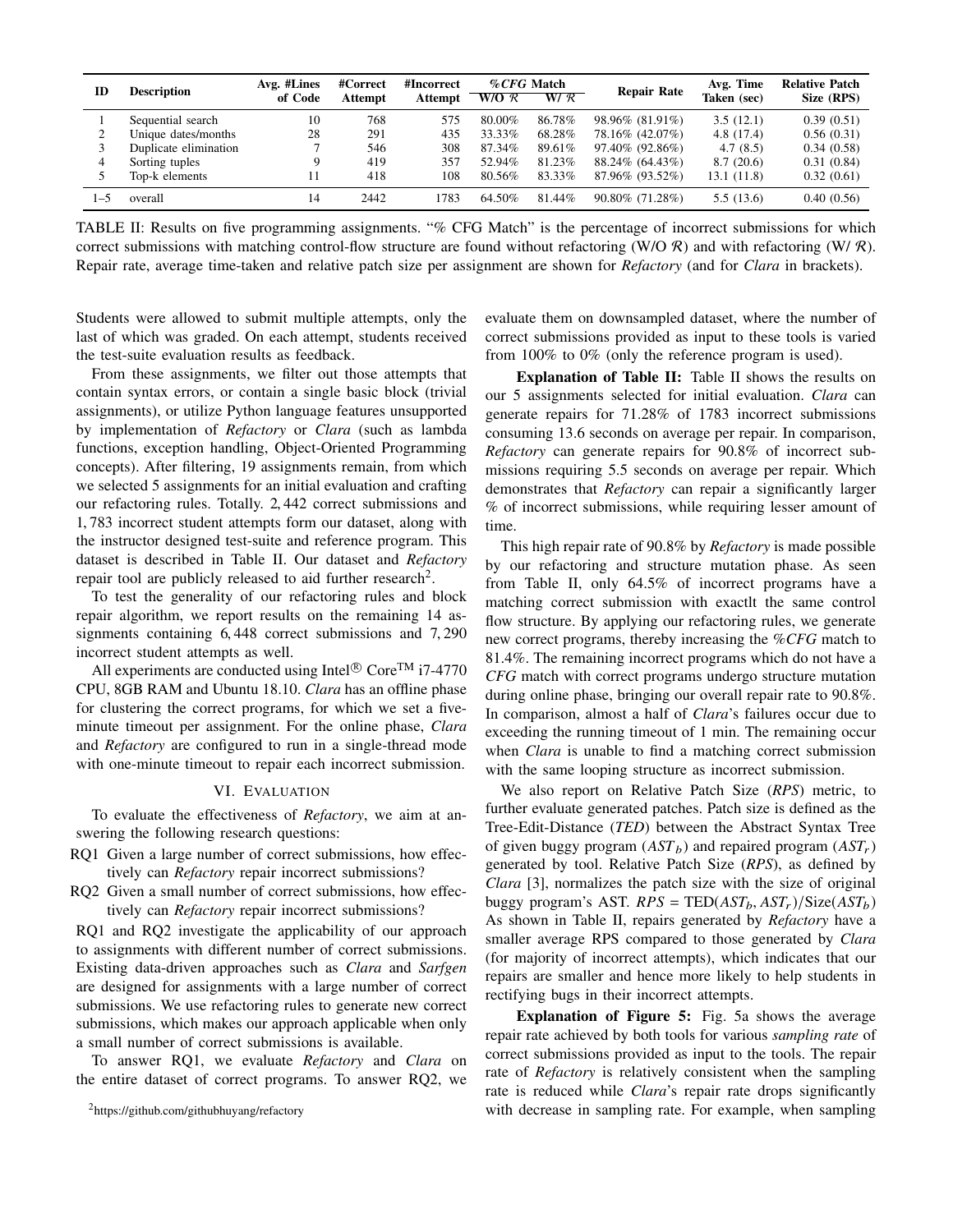| ID      | <b>Description</b>    | Avg. #Lines<br>of Code | #Correct<br>Attempt | #Incorrect<br><b>Attempt</b> | %CFG Match<br>$W/O \mathcal{R}$ | W/R    | <b>Repair Rate</b> | Avg. Time<br>Taken (sec) | <b>Relative Patch</b><br>Size (RPS) |
|---------|-----------------------|------------------------|---------------------|------------------------------|---------------------------------|--------|--------------------|--------------------------|-------------------------------------|
|         | Sequential search     | 10                     | 768                 | 575                          | 80.00%                          | 86.78% | 98.96% (81.91%)    | 3.5(12.1)                | 0.39(0.51)                          |
|         | Unique dates/months   | 28                     | 291                 | 435                          | 33.33%                          | 68.28% | 78.16% (42.07%)    | 4.8 (17.4)               | 0.56(0.31)                          |
|         | Duplicate elimination |                        | 546                 | 308                          | 87.34%                          | 89.61% | 97.40% (92.86%)    | 4.7(8.5)                 | 0.34(0.58)                          |
|         | Sorting tuples        | Q                      | 419                 | 357                          | 52.94%                          | 81.23% | 88.24% (64.43%)    | 8.7(20.6)                | 0.31(0.84)                          |
|         | Top-k elements        |                        | 418                 | 108                          | 80.56%                          | 83.33% | 87.96% (93.52%)    | 13.1 (11.8)              | 0.32(0.61)                          |
| $1 - 5$ | overall               | 14                     | 2442                | 783                          | 64.50%                          | 81.44% | 90.80% (71.28%)    | 5.5(13.6)                | 0.40(0.56)                          |

TABLE II: Results on five programming assignments. "% CFG Match" is the percentage of incorrect submissions for which correct submissions with matching control-flow structure are found without refactoring (W/O R) and with refactoring (W/R). Repair rate, average time-taken and relative patch size per assignment are shown for *Refactory* (and for *Clara* in brackets).

Students were allowed to submit multiple attempts, only the last of which was graded. On each attempt, students received the test-suite evaluation results as feedback.

From these assignments, we filter out those attempts that contain syntax errors, or contain a single basic block (trivial assignments), or utilize Python language features unsupported by implementation of *Refactory* or *Clara* (such as lambda functions, exception handling, Object-Oriented Programming concepts). After filtering, 19 assignments remain, from which we selected 5 assignments for an initial evaluation and crafting our refactoring rules. Totally. 2, 442 correct submissions and 1, 783 incorrect student attempts form our dataset, along with the instructor designed test-suite and reference program. This dataset is described in Table II. Our dataset and *Refactory* repair tool are publicly released to aid further research<sup>2</sup>.

To test the generality of our refactoring rules and block repair algorithm, we report results on the remaining 14 assignments containing 6, 448 correct submissions and 7, 290 incorrect student attempts as well.

All experiments are conducted using Intel $^{\circledR}$  Core<sup>TM</sup> i7-4770 CPU, 8GB RAM and Ubuntu 18.10. *Clara* has an offline phase for clustering the correct programs, for which we set a fiveminute timeout per assignment. For the online phase, *Clara* and *Refactory* are configured to run in a single-thread mode with one-minute timeout to repair each incorrect submission.

#### VI. EVALUATION

To evaluate the effectiveness of *Refactory*, we aim at answering the following research questions:

- RQ1 Given a large number of correct submissions, how effectively can *Refactory* repair incorrect submissions?
- RQ2 Given a small number of correct submissions, how effectively can *Refactory* repair incorrect submissions?

RQ1 and RQ2 investigate the applicability of our approach to assignments with different number of correct submissions. Existing data-driven approaches such as *Clara* and *Sarfgen* are designed for assignments with a large number of correct submissions. We use refactoring rules to generate new correct submissions, which makes our approach applicable when only a small number of correct submissions is available.

To answer RQ1, we evaluate *Refactory* and *Clara* on the entire dataset of correct programs. To answer RQ2, we evaluate them on downsampled dataset, where the number of correct submissions provided as input to these tools is varied from 100% to 0% (only the reference program is used).

**Explanation of Table II:** Table II shows the results on our 5 assignments selected for initial evaluation. *Clara* can generate repairs for 71.28% of 1783 incorrect submissions consuming 13.6 seconds on average per repair. In comparison, *Refactory* can generate repairs for 90.8% of incorrect submissions requiring 5.5 seconds on average per repair. Which demonstrates that *Refactory* can repair a significantly larger % of incorrect submissions, while requiring lesser amount of time.

This high repair rate of 90.8% by *Refactory* is made possible by our refactoring and structure mutation phase. As seen from Table II, only 64.5% of incorrect programs have a matching correct submission with exactlt the same control flow structure. By applying our refactoring rules, we generate new correct programs, thereby increasing the %*CFG* match to 81.4%. The remaining incorrect programs which do not have a *CFG* match with correct programs undergo structure mutation during online phase, bringing our overall repair rate to 90.8%. In comparison, almost a half of *Clara*'s failures occur due to exceeding the running timeout of 1 min. The remaining occur when *Clara* is unable to find a matching correct submission with the same looping structure as incorrect submission.

We also report on Relative Patch Size (*RPS*) metric, to further evaluate generated patches. Patch size is defined as the Tree-Edit-Distance (*TED*) between the Abstract Syntax Tree of given buggy program  $(AST_b)$  and repaired program  $(AST_r)$ generated by tool. Relative Patch Size (*RPS*), as defined by *Clara* [3], normalizes the patch size with the size of original buggy program's AST.  $RPS = \text{TED}(AST_b, AST_r)/\text{Size}(AST_b)$ As shown in Table II, repairs generated by *Refactory* have a smaller average RPS compared to those generated by *Clara* (for majority of incorrect attempts), which indicates that our repairs are smaller and hence more likely to help students in rectifying bugs in their incorrect attempts.

**Explanation of Figure 5:** Fig. 5a shows the average repair rate achieved by both tools for various *sampling rate* of correct submissions provided as input to the tools. The repair rate of *Refactory* is relatively consistent when the sampling rate is reduced while *Clara*'s repair rate drops significantly with decrease in sampling rate. For example, when sampling

<sup>2</sup>https://github.com/githubhuyang/refactory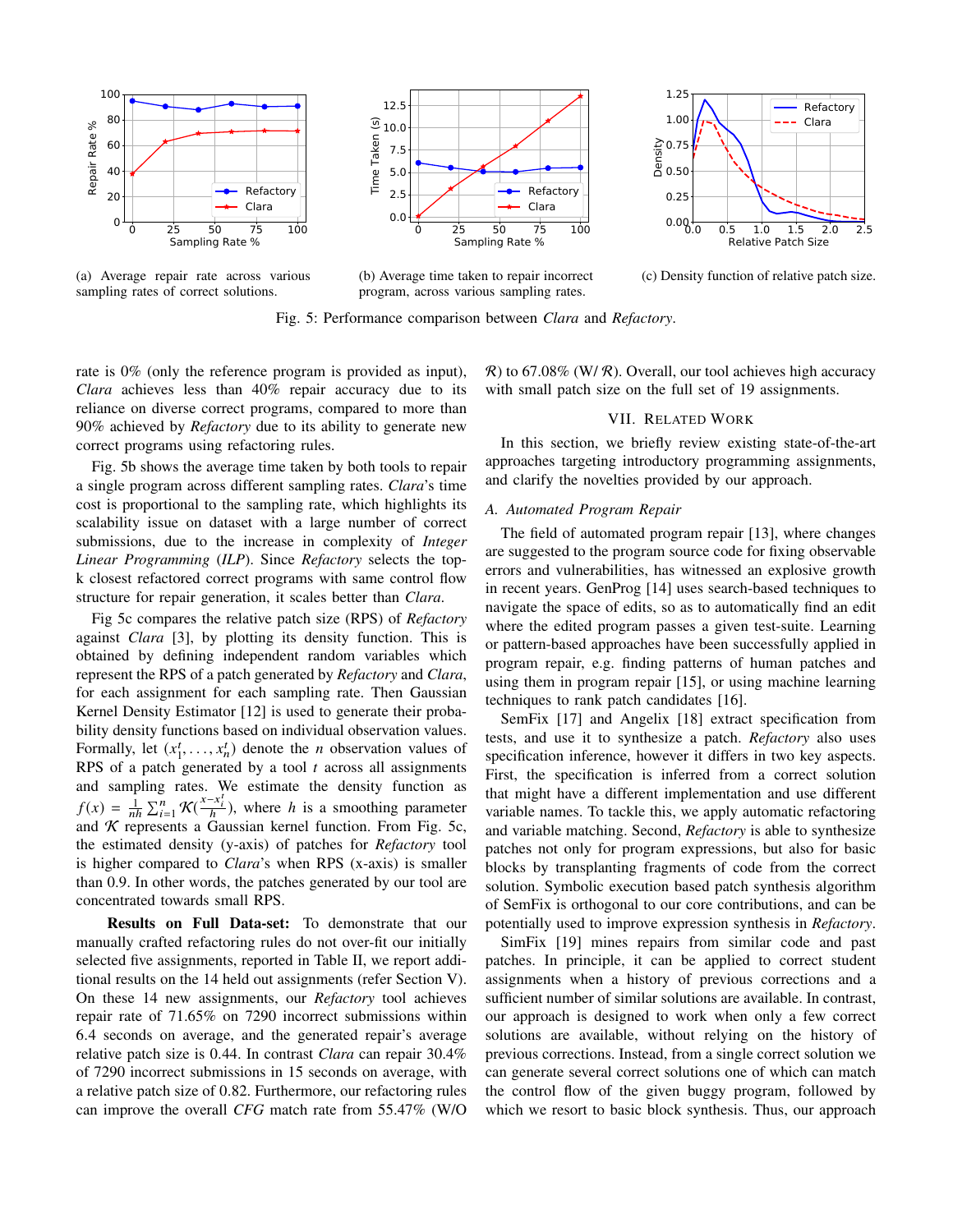

(a) Average repair rate across various sampling rates of correct solutions.





(c) Density function of relative patch size.

program, across various sampling rates. Fig. 5: Performance comparison between *Clara* and *Refactory*.

(b) Average time taken to repair incorrect

rate is 0% (only the reference program is provided as input), *Clara* achieves less than 40% repair accuracy due to its reliance on diverse correct programs, compared to more than 90% achieved by *Refactory* due to its ability to generate new correct programs using refactoring rules.

Fig. 5b shows the average time taken by both tools to repair a single program across different sampling rates. *Clara*'s time cost is proportional to the sampling rate, which highlights its scalability issue on dataset with a large number of correct submissions, due to the increase in complexity of *Integer Linear Programming* (*ILP*). Since *Refactory* selects the topk closest refactored correct programs with same control flow structure for repair generation, it scales better than *Clara*.

Fig 5c compares the relative patch size (RPS) of *Refactory* against *Clara* [3], by plotting its density function. This is obtained by defining independent random variables which represent the RPS of a patch generated by *Refactory* and *Clara*, for each assignment for each sampling rate. Then Gaussian Kernel Density Estimator [12] is used to generate their probability density functions based on individual observation values. Formally, let  $(x_1^t, \ldots, x_n^t)$  denote the *n* observation values of RPS of a patch generated by a tool *t* across all assignments and sampling rates. We estimate the density function as  $f(x) = \frac{1}{nh} \sum_{i=1}^{n} \mathcal{K}(\frac{x-x_i^t}{h})$ , where *h* is a smoothing parameter and  $K$  represents a Gaussian kernel function. From Fig. 5c, the estimated density (y-axis) of patches for *Refactory* tool is higher compared to *Clara*'s when RPS (x-axis) is smaller than 0.9. In other words, the patches generated by our tool are concentrated towards small RPS.

**Results on Full Data-set:** To demonstrate that our manually crafted refactoring rules do not over-fit our initially selected five assignments, reported in Table II, we report additional results on the 14 held out assignments (refer Section V). On these 14 new assignments, our *Refactory* tool achieves repair rate of 71.65% on 7290 incorrect submissions within 6.4 seconds on average, and the generated repair's average relative patch size is 0.44. In contrast *Clara* can repair 30.4% of 7290 incorrect submissions in 15 seconds on average, with a relative patch size of 0.82. Furthermore, our refactoring rules can improve the overall *CFG* match rate from 55.47% (W/O  $\mathcal{R}$ ) to 67.08% (W/ $\mathcal{R}$ ). Overall, our tool achieves high accuracy with small patch size on the full set of 19 assignments.

# VII. RELATED WORK

In this section, we briefly review existing state-of-the-art approaches targeting introductory programming assignments, and clarify the novelties provided by our approach.

# *A. Automated Program Repair*

The field of automated program repair [13], where changes are suggested to the program source code for fixing observable errors and vulnerabilities, has witnessed an explosive growth in recent years. GenProg [14] uses search-based techniques to navigate the space of edits, so as to automatically find an edit where the edited program passes a given test-suite. Learning or pattern-based approaches have been successfully applied in program repair, e.g. finding patterns of human patches and using them in program repair [15], or using machine learning techniques to rank patch candidates [16].

SemFix [17] and Angelix [18] extract specification from tests, and use it to synthesize a patch. *Refactory* also uses specification inference, however it differs in two key aspects. First, the specification is inferred from a correct solution that might have a different implementation and use different variable names. To tackle this, we apply automatic refactoring and variable matching. Second, *Refactory* is able to synthesize patches not only for program expressions, but also for basic blocks by transplanting fragments of code from the correct solution. Symbolic execution based patch synthesis algorithm of SemFix is orthogonal to our core contributions, and can be potentially used to improve expression synthesis in *Refactory*.

SimFix [19] mines repairs from similar code and past patches. In principle, it can be applied to correct student assignments when a history of previous corrections and a sufficient number of similar solutions are available. In contrast, our approach is designed to work when only a few correct solutions are available, without relying on the history of previous corrections. Instead, from a single correct solution we can generate several correct solutions one of which can match the control flow of the given buggy program, followed by which we resort to basic block synthesis. Thus, our approach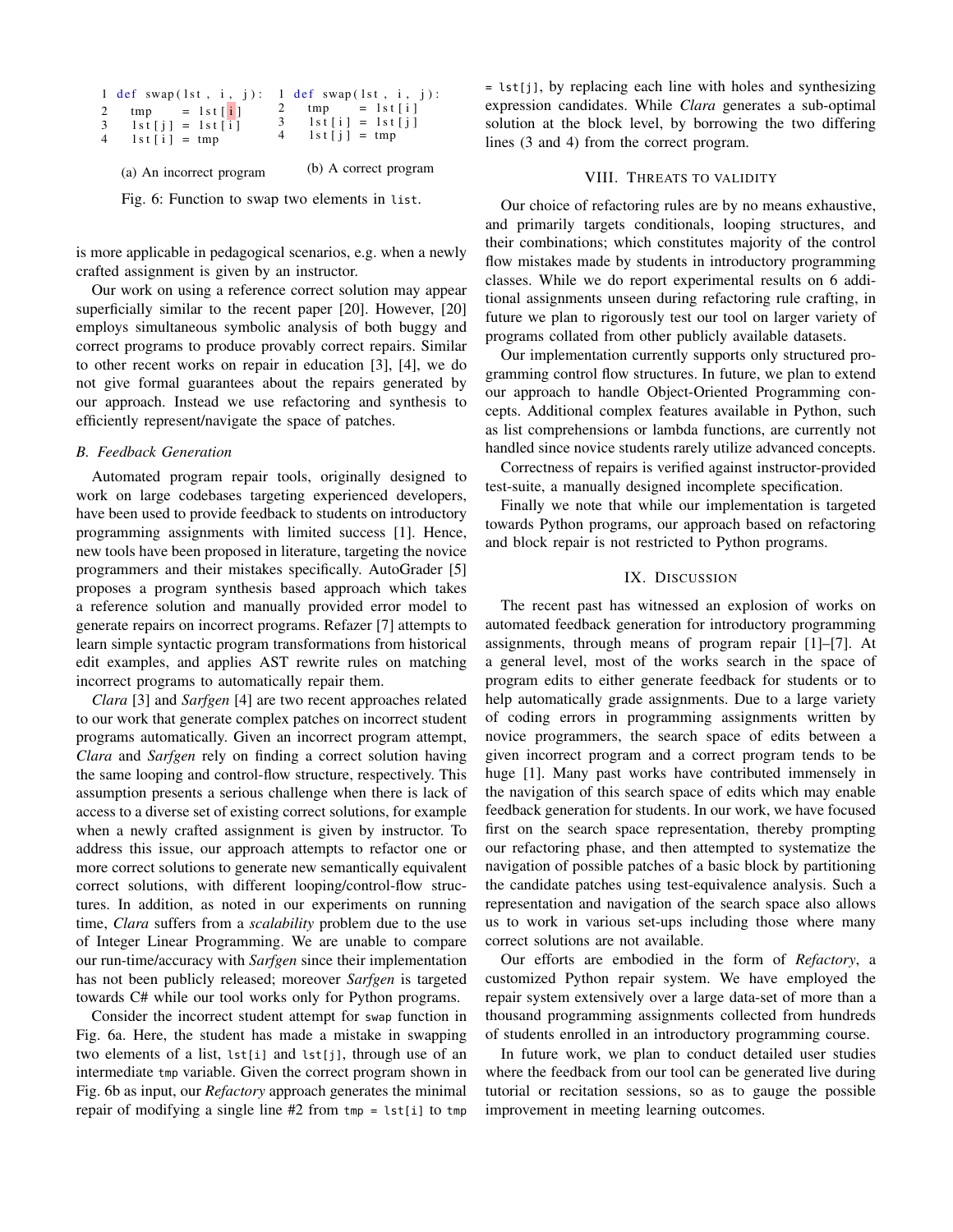| 3 <sup>1</sup><br>4 | 1 def swap(1st, $i$ , j):<br>$tmp = 1st[i]$<br>$1st[j] = 1st[i]$<br>$1st[i] = tmp$ | 1 def swap(1st, $i$ , $j$ ):<br>$tmp = 1st[i]$<br>$3 \quad 1st[i] = 1st[i]$<br>$4 \quad 1st[i] = tmp$ |
|---------------------|------------------------------------------------------------------------------------|-------------------------------------------------------------------------------------------------------|
|                     | (a) An incorrect program                                                           | (b) A correct program                                                                                 |

Fig. 6: Function to swap two elements in list.

is more applicable in pedagogical scenarios, e.g. when a newly crafted assignment is given by an instructor.

Our work on using a reference correct solution may appear superficially similar to the recent paper [20]. However, [20] employs simultaneous symbolic analysis of both buggy and correct programs to produce provably correct repairs. Similar to other recent works on repair in education [3], [4], we do not give formal guarantees about the repairs generated by our approach. Instead we use refactoring and synthesis to efficiently represent/navigate the space of patches.

# *B. Feedback Generation*

Automated program repair tools, originally designed to work on large codebases targeting experienced developers, have been used to provide feedback to students on introductory programming assignments with limited success [1]. Hence, new tools have been proposed in literature, targeting the novice programmers and their mistakes specifically. AutoGrader [5] proposes a program synthesis based approach which takes a reference solution and manually provided error model to generate repairs on incorrect programs. Refazer [7] attempts to learn simple syntactic program transformations from historical edit examples, and applies AST rewrite rules on matching incorrect programs to automatically repair them.

*Clara* [3] and *Sarfgen* [4] are two recent approaches related to our work that generate complex patches on incorrect student programs automatically. Given an incorrect program attempt, *Clara* and *Sarfgen* rely on finding a correct solution having the same looping and control-flow structure, respectively. This assumption presents a serious challenge when there is lack of access to a diverse set of existing correct solutions, for example when a newly crafted assignment is given by instructor. To address this issue, our approach attempts to refactor one or more correct solutions to generate new semantically equivalent correct solutions, with different looping/control-flow structures. In addition, as noted in our experiments on running time, *Clara* suffers from a *scalability* problem due to the use of Integer Linear Programming. We are unable to compare our run-time/accuracy with *Sarfgen* since their implementation has not been publicly released; moreover *Sarfgen* is targeted towards C# while our tool works only for Python programs.

Consider the incorrect student attempt for swap function in Fig. 6a. Here, the student has made a mistake in swapping two elements of a list, lst[i] and lst[j], through use of an intermediate tmp variable. Given the correct program shown in Fig. 6b as input, our *Refactory* approach generates the minimal repair of modifying a single line #2 from tmp = lst[i] to tmp = lst[j], by replacing each line with holes and synthesizing expression candidates. While *Clara* generates a sub-optimal solution at the block level, by borrowing the two differing lines (3 and 4) from the correct program.

# VIII. THREATS TO VALIDITY

Our choice of refactoring rules are by no means exhaustive, and primarily targets conditionals, looping structures, and their combinations; which constitutes majority of the control flow mistakes made by students in introductory programming classes. While we do report experimental results on 6 additional assignments unseen during refactoring rule crafting, in future we plan to rigorously test our tool on larger variety of programs collated from other publicly available datasets.

Our implementation currently supports only structured programming control flow structures. In future, we plan to extend our approach to handle Object-Oriented Programming concepts. Additional complex features available in Python, such as list comprehensions or lambda functions, are currently not handled since novice students rarely utilize advanced concepts.

Correctness of repairs is verified against instructor-provided test-suite, a manually designed incomplete specification.

Finally we note that while our implementation is targeted towards Python programs, our approach based on refactoring and block repair is not restricted to Python programs.

#### IX. DISCUSSION

The recent past has witnessed an explosion of works on automated feedback generation for introductory programming assignments, through means of program repair [1]–[7]. At a general level, most of the works search in the space of program edits to either generate feedback for students or to help automatically grade assignments. Due to a large variety of coding errors in programming assignments written by novice programmers, the search space of edits between a given incorrect program and a correct program tends to be huge [1]. Many past works have contributed immensely in the navigation of this search space of edits which may enable feedback generation for students. In our work, we have focused first on the search space representation, thereby prompting our refactoring phase, and then attempted to systematize the navigation of possible patches of a basic block by partitioning the candidate patches using test-equivalence analysis. Such a representation and navigation of the search space also allows us to work in various set-ups including those where many correct solutions are not available.

Our efforts are embodied in the form of *Refactory*, a customized Python repair system. We have employed the repair system extensively over a large data-set of more than a thousand programming assignments collected from hundreds of students enrolled in an introductory programming course.

In future work, we plan to conduct detailed user studies where the feedback from our tool can be generated live during tutorial or recitation sessions, so as to gauge the possible improvement in meeting learning outcomes.